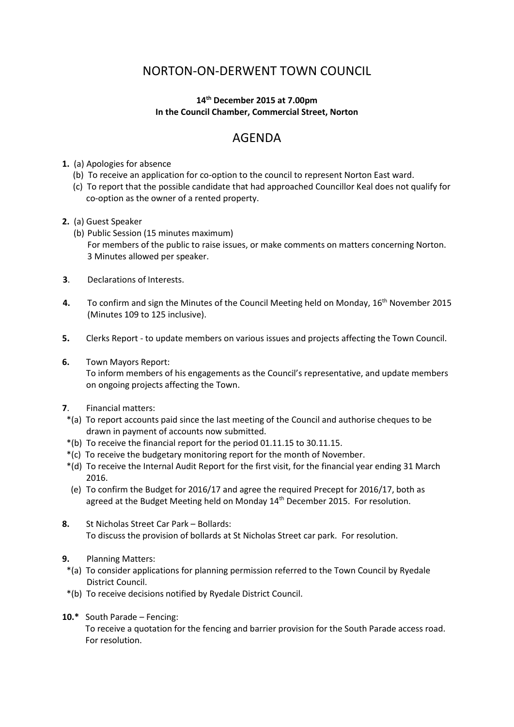## NORTON-ON-DERWENT TOWN COUNCIL

## **14th December 2015 at 7.00pm In the Council Chamber, Commercial Street, Norton**

## AGENDA

- **1.** (a) Apologies for absence
	- (b) To receive an application for co-option to the council to represent Norton East ward.
	- (c) To report that the possible candidate that had approached Councillor Keal does not qualify for co-option as the owner of a rented property.
- **2.** (a) Guest Speaker
	- (b) Public Session (15 minutes maximum) For members of the public to raise issues, or make comments on matters concerning Norton. 3 Minutes allowed per speaker.
- **3**. Declarations of Interests.
- 4. To confirm and sign the Minutes of the Council Meeting held on Monday, 16<sup>th</sup> November 2015 (Minutes 109 to 125 inclusive).
- **5.** Clerks Report to update members on various issues and projects affecting the Town Council.
- **6.** Town Mayors Report:

 To inform members of his engagements as the Council's representative, and update members on ongoing projects affecting the Town.

- **7**. Financial matters:
- \*(a) To report accounts paid since the last meeting of the Council and authorise cheques to be drawn in payment of accounts now submitted.
- \*(b) To receive the financial report for the period 01.11.15 to 30.11.15.
- \*(c) To receive the budgetary monitoring report for the month of November.
- \*(d) To receive the Internal Audit Report for the first visit, for the financial year ending 31 March 2016.
- (e) To confirm the Budget for 2016/17 and agree the required Precept for 2016/17, both as agreed at the Budget Meeting held on Monday 14<sup>th</sup> December 2015. For resolution.
- **8.** St Nicholas Street Car Park Bollards: To discuss the provision of bollards at St Nicholas Street car park. For resolution.
- **9.** Planning Matters:
- \*(a) To consider applications for planning permission referred to the Town Council by Ryedale District Council.
- \*(b) To receive decisions notified by Ryedale District Council.
- **10.\*** South Parade Fencing:

To receive a quotation for the fencing and barrier provision for the South Parade access road. For resolution.